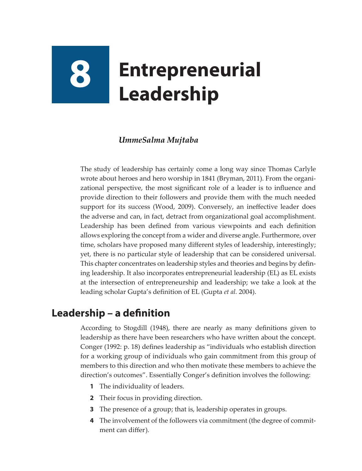# **8 Entrepreneurial Leadership**

## *UmmeSalma Mujtaba*

The study of leadership has certainly come a long way since Thomas Carlyle wrote about heroes and hero worship in 1841 (Bryman, 2011). From the organizational perspective, the most significant role of a leader is to influence and provide direction to their followers and provide them with the much needed support for its success (Wood, 2009). Conversely, an ineffective leader does the adverse and can, in fact, detract from organizational goal accomplishment. Leadership has been defined from various viewpoints and each definition allows exploring the concept from a wider and diverse angle. Furthermore, over time, scholars have proposed many different styles of leadership, interestingly; yet, there is no particular style of leadership that can be considered universal. This chapter concentrates on leadership styles and theories and begins by defining leadership. It also incorporates entrepreneurial leadership (EL) as EL exists at the intersection of entrepreneurship and leadership; we take a look at the leading scholar Gupta's definition of EL (Gupta *et al.* 2004).

# **Leadership – a definition**

According to Stogdill (1948), there are nearly as many definitions given to leadership as there have been researchers who have written about the concept. Conger (1992: p. 18) defines leadership as "individuals who establish direction for a working group of individuals who gain commitment from this group of members to this direction and who then motivate these members to achieve the direction's outcomes". Essentially Conger's definition involves the following:

- **1** The individuality of leaders.
- **2** Their focus in providing direction.
- **3** The presence of a group; that is, leadership operates in groups.
- **4** The involvement of the followers via commitment (the degree of commitment can differ).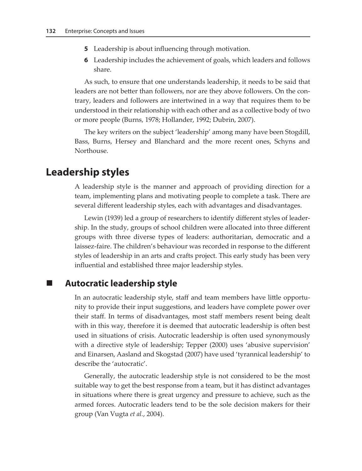- **5** Leadership is about influencing through motivation.
- **6** Leadership includes the achievement of goals, which leaders and follows share.

As such, to ensure that one understands leadership, it needs to be said that leaders are not better than followers, nor are they above followers. On the contrary, leaders and followers are intertwined in a way that requires them to be understood in their relationship with each other and as a collective body of two or more people (Burns, 1978; Hollander, 1992; Dubrin, 2007).

The key writers on the subject 'leadership' among many have been Stogdill, Bass, Burns, Hersey and Blanchard and the more recent ones, Schyns and Northouse.

# **Leadership styles**

A leadership style is the manner and approach of providing direction for a team, implementing plans and motivating people to complete a task. There are several different leadership styles, each with advantages and disadvantages.

Lewin (1939) led a group of researchers to identify different styles of leadership. In the study, groups of school children were allocated into three different groups with three diverse types of leaders: authoritarian, democratic and a laissez-faire. The children's behaviour was recorded in response to the different styles of leadership in an arts and crafts project. This early study has been very influential and established three major leadership styles.

## **Autocratic leadership style**

In an autocratic leadership style, staff and team members have little opportunity to provide their input suggestions, and leaders have complete power over their staff. In terms of disadvantages, most staff members resent being dealt with in this way, therefore it is deemed that autocratic leadership is often best used in situations of crisis. Autocratic leadership is often used synonymously with a directive style of leadership; Tepper (2000) uses 'abusive supervision' and Einarsen, Aasland and Skogstad (2007) have used 'tyrannical leadership' to describe the 'autocratic'.

Generally, the autocratic leadership style is not considered to be the most suitable way to get the best response from a team, but it has distinct advantages in situations where there is great urgency and pressure to achieve, such as the armed forces. Autocratic leaders tend to be the sole decision makers for their group (Van Vugta *et al.*, 2004).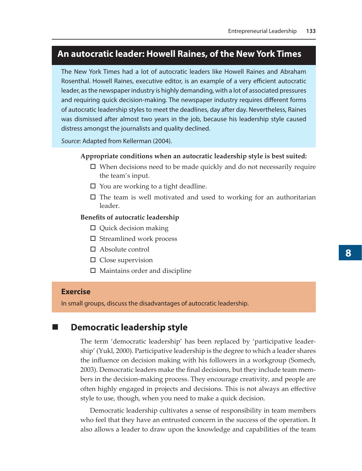## **An autocratic leader: Howell Raines, of the New York Times**

The New York Times had a lot of autocratic leaders like Howell Raines and Abraham Rosenthal. Howell Raines, executive editor, is an example of a very efficient autocratic leader, as the newspaper industry is highly demanding, with a lot of associated pressures and requiring quick decision-making. The newspaper industry requires different forms of autocratic leadership styles to meet the deadlines, day after day. Nevertheless, Raines was dismissed after almost two years in the job, because his leadership style caused distress amongst the journalists and quality declined.

*Source*: Adapted from Kellerman (2004).

#### **Appropriate conditions when an autocratic leadership style is best suited:**

- $\square$  When decisions need to be made quickly and do not necessarily require the team's input.
- $\Box$  You are working to a tight deadline.
- $\Box$  The team is well motivated and used to working for an authoritarian leader.

#### **Benefits of autocratic leadership**

- □ Quick decision making
- $\square$  Streamlined work process
- Absolute control
- $\square$  Close supervision
- $\Box$  Maintains order and discipline

#### **Exercise**

In small groups, discuss the disadvantages of autocratic leadership.

## **Democratic leadership style**

The term 'democratic leadership' has been replaced by 'participative leadership' (Yukl, 2000). Participative leadership is the degree to which a leader shares the influence on decision making with his followers in a workgroup (Somech, 2003). Democratic leaders make the final decisions, but they include team members in the decision-making process. They encourage creativity, and people are often highly engaged in projects and decisions. This is not always an effective style to use, though, when you need to make a quick decision.

Democratic leadership cultivates a sense of responsibility in team members who feel that they have an entrusted concern in the success of the operation. It also allows a leader to draw upon the knowledge and capabilities of the team